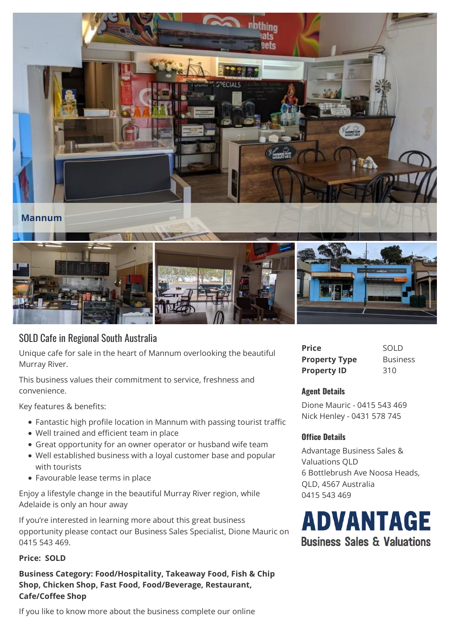

## SOLD Cafe in Regional South Australia

Unique cafe for sale in the heart of Mannum overlooking the beautiful Murray River.

This business values their commitment to service, freshness and convenience.

Key features & benefits:

- Fantastic high profile location in Mannum with passing tourist traffic
- Well trained and efficient team in place
- Great opportunity for an owner operator or husband wife team
- Well established business with a loyal customer base and popular with tourists
- Favourable lease terms in place

Enjoy a lifestyle change in the beautiful Murray River region, while Adelaide is only an hour away

If you're interested in learning more about this great business If you're interested in learning more about this great business<br>
opportunity please contact our Business Sales Specialist, Dione Mauric on<br> **Business Sales & Valuations** 0415 543 469.

## **Price: SOLD**

**Business Category: Food/Hospitality, Takeaway Food, Fish & Chip Shop, Chicken Shop, Fast Food, Food/Beverage, Restaurant, Cafe/Coffee Shop**

If you like to know more about the business complete our online

| Price                | <b>SOLD</b>     |
|----------------------|-----------------|
| <b>Property Type</b> | <b>Business</b> |
| <b>Property ID</b>   | 310             |

## **Agent Details**

Dione Mauric - 0415 543 469 Nick Henley - 0431 578 745

## **Office Details**

Advantage Business Sales & Valuations QLD 6 Bottlebrush Ave Noosa Heads, QLD, 4567 Australia 0415 543 469